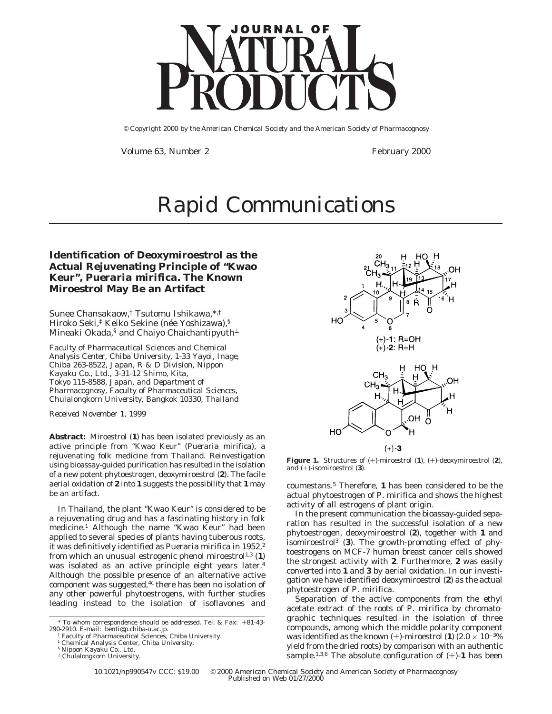## **Identification of Deoxymiroestrol as the Actual Rejuvenating Principle of "Kwao Keur",** *Pueraria mirifica***. The Known Miroestrol May Be an Artifact**

Sunee Chansakaow,† Tsutomu Ishikawa,\*,† Hiroko Seki,<sup>‡</sup> Keiko Sekine (née Yoshizawa),§ Mineaki Okada,<sup>§</sup> and Chaiyo Chaichantipyuth<sup>⊥</sup>

*Faculty of Pharmaceutical Sciences and Chemical Analysis Center, Chiba University, 1-33 Yayoi, Inage, Chiba 263-8522, Japan,R&D Division, Nippon Kayaku Co., Ltd., 3-31-12 Shimo, Kita, Tokyo 115-8588, Japan, and Department of Pharmacognosy, Faculty of Pharmaceutical Sciences, Chulalongkorn University, Bangkok 10330, Thailand*

*Received November 1, 1999*

**Abstract:** Miroestrol (**1**) has been isolated previously as an active principle from "Kwao Keur" (*Pueraria mirifica*), a rejuvenating folk medicine from Thailand. Reinvestigation using bioassay-guided purification has resulted in the isolation of a new potent phytoestrogen, deoxymiroestrol (**2**). The facile aerial oxidation of **2** into **1** suggests the possibility that **1** may be an artifact.

In Thailand, the plant "Kwao Keur" is considered to be a rejuvenating drug and has a fascinating history in folk medicine.1 Although the name "Kwao Keur" had been applied to several species of plants having tuberous roots, it was definitively identified as *Pueraria mirifica* in 1952,2 from which an unusual estrogenic phenol miroestrol<sup>1,3</sup> (1) was isolated as an active principle eight years later.<sup>4</sup> Although the possible presence of an alternative active component was suggested, $4c$  there has been no isolation of any other powerful phytoestrogens, with further studies leading instead to the isolation of isoflavones and



**Figure 1.** Structures of (+)-miroestrol (**1**), (+)-deoxymiroestrol (**2**), and (+)-isomiroestrol (**3**).

coumestans.5 Therefore, **1** has been considered to be the actual phytoestrogen of *P. mirifica* and shows the highest activity of all estrogens of plant origin.

In the present communication the bioassay-guided separation has resulted in the successful isolation of a new phytoestrogen, deoxymiroestrol (**2**), together with **1** and isomiroestrol3 (**3**). The growth-promoting effect of phytoestrogens on MCF-7 human breast cancer cells showed the strongest activity with **2**. Furthermore, **2** was easily converted into **1** and **3** by aerial oxidation. In our investigation we have identified deoxymiroestrol (**2**) as the actual phytoestrogen of *P. mirifica*.

Separation of the active components from the ethyl acetate extract of the roots of *P. mirifica* by chromatographic techniques resulted in the isolation of three compounds, among which the middle polarity component was identified as the known  $(+)$ -miroestrol (**1**) (2.0  $\times$  10<sup>-3</sup>% yield from the dried roots) by comparison with an authentic sample.<sup>1,3,6</sup> The absolute configuration of  $(+)$ -1 has been

<sup>\*</sup> To whom correspondence should be addressed. Tel. & Fax: +81-43- 290-2910. E-mail: benti@p.chiba-u.ac.jp.

<sup>†</sup> Faculty of Pharmaceutical Sciences, Chiba University.

<sup>‡</sup> Chemical Analysis Center, Chiba University.

<sup>§</sup> Nippon Kayaku Co., Ltd.

<sup>⊥</sup> Chulalongkorn University.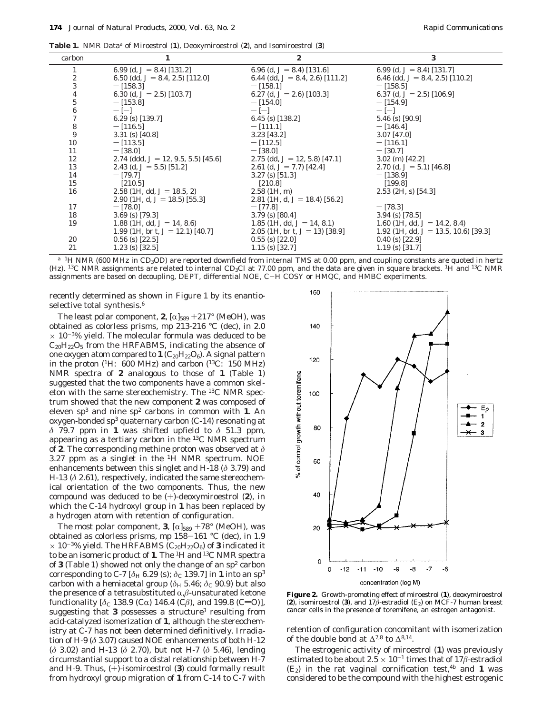**Table 1.** NMR Data*<sup>a</sup>* of Miroestrol (**1**), Deoxymiroestrol (**2**), and Isomiroestrol (**3**)

| carbon                                          |                                        | 2                                  | 3                                       |
|-------------------------------------------------|----------------------------------------|------------------------------------|-----------------------------------------|
| 1                                               | 6.99 (d, $J = 8.4$ ) [131.2]           | 6.96 (d, $J = 8.4$ ) [131.6]       | 6.99 (d, $J = 8.4$ ) [131.7]            |
| $\boldsymbol{2}$                                | 6.50 (dd, $J = 8.4$ , 2.5) [112.0]     | 6.44 (dd, $J = 8.4$ , 2.6) [111.2] | 6.46 (dd, $J = 8.4$ , 2.5) [110.2]      |
| $\,3$                                           | $-$ [158.3]                            | $-$ [158.1]                        | $-$ [158.5]                             |
|                                                 | 6.30 (d, $J = 2.5$ ) [103.7]           | 6.27 (d, $J = 2.6$ ) [103.3]       | 6.37 (d, $J = 2.5$ ) [106.9]            |
| $\begin{array}{c} 4 \\ 5 \\ 6 \\ 7 \end{array}$ | $-$ [153.8]                            | $-$ [154.0]                        | $-[154.9]$                              |
|                                                 | $ [-]$                                 | $-$ [-1]                           | $ [-]$                                  |
|                                                 | 6.29 (s) $[139.7]$                     | 6.45 (s) $[138.2]$                 | $5.46$ (s) [90.9]                       |
| $\bf 8$                                         | $-$ [116.5]                            | $-$ [111.1]                        | $-$ [146.4]                             |
| $\boldsymbol{9}$                                | $3.31$ (s) [40.8]                      | $3.23$ [43.2]                      | $3.07$ [47.0]                           |
| 10                                              | $-[113.5]$                             | $-$ [112.5]                        | $-$ [116.1]                             |
| 11                                              | $-$ [38.0]                             | $-$ [38.0]                         | $-$ [30.7]                              |
| 12                                              | 2.74 (ddd, $J = 12, 9.5, 5.5$ ) [45.6] | 2.75 (dd, $J = 12, 5.8$ ) [47.1]   | $3.02$ (m) [42.2]                       |
| 13                                              | 2.43 (d, $J = 5.5$ ) [51.2]            | 2.61 (d, $J = 7.7$ ) [42.4]        | 2.70 (d, $J = 5.1$ ) [46.8]             |
| 14                                              | $-$ [79.7]                             | $3.27$ (s) [51.3]                  | $-$ [138.9]                             |
| 15                                              | $-$ [210.5]                            | $-$ [210.8]                        | $-$ [199.8]                             |
| 16                                              | 2.58 (1H, dd, $J = 18.5, 2$ )          | $2.58$ (1H, m)                     | $2.53$ (2H, s) [54.3]                   |
|                                                 | 2.90 (1H, d, $J = 18.5$ ) [55.3]       | 2.81 (1H, d, $J = 18.4$ ) [56.2]   |                                         |
| 17                                              | $-$ [78.0]                             | $-[77.8]$                          | $-$ [78.3]                              |
| 18                                              | $3.69$ (s) [79.3]                      | $3.79$ (s) [80.4]                  | $3.94$ (s) [78.5]                       |
| 19                                              | 1.88 (1H, dd, $J = 14$ , 8.6)          | 1.85 (1H, dd, $J=14, 8.1$ )        | 1.60 (1H, dd, $J = 14.2$ , 8.4)         |
|                                                 | 1.99 (1H, br t, $J = 12.1$ ) [40.7]    | 2.05 (1H, br t, $J=13$ ) [38.9]    | 1.92 (1H, dd, $J = 13.5, 10.6$ ) [39.3] |
| 20                                              | $0.56$ (s) [22.5]                      | $0.55$ (s) [22.0]                  | $0.40$ (s) [22.9]                       |
| 21                                              | $1.23$ (s) [32.5]                      | $1.15$ (s) [32.7]                  | $1.19$ (s) [31.7]                       |

<sup>a</sup> <sup>1</sup>H NMR (600 MHz in CD<sub>3</sub>OD) are reported downfield from internal TMS at 0.00 ppm, and coupling constants are quoted in hertz (Hz). <sup>13</sup>C NMR assignments are related to internal CD<sub>3</sub>Cl at 77.00 ppm, and the data are given in square brackets. <sup>1</sup>H and <sup>13</sup>C NMR assignments are based on decoupling, DEPT, differential NOE, C-H COSY or HMQC, and HMBC experiments.

recently determined as shown in Figure 1 by its enantioselective total synthesis.<sup>6</sup>

The least polar component, **2**,  $[\alpha]_{589} +217^{\circ}$  (MeOH), was obtained as colorless prisms, mp 213-216 °C (dec), in 2.0  $\times$  10<sup>-3%</sup> yield. The molecular formula was deduced to be  $C_{20}H_{22}O_5$  from the HRFABMS, indicating the absence of one oxygen atom compared to  $1 (C_{20}H_{22}O_6)$ . A signal pattern in the proton (1H: 600 MHz) and carbon (13C: 150 MHz) NMR spectra of **2** analogous to those of **1** (Table 1) suggested that the two components have a common skeleton with the same stereochemistry. The 13C NMR spectrum showed that the new component **2** was composed of eleven  $sp^3$  and nine  $sp^2$  carbons in common with 1. An oxygen-bonded sp<sup>3</sup> quaternary carbon (C-14) resonating at *δ* 79.7 ppm in **1** was shifted upfield to *δ* 51.3 ppm, appearing as a tertiary carbon in the 13C NMR spectrum of **2**. The corresponding methine proton was observed at *δ* 3.27 ppm as a singlet in the 1H NMR spectrum. NOE enhancements between this singlet and H-18 (*δ* 3.79) and H-13 (*δ* 2.61), respectively, indicated the same stereochemical orientation of the two components. Thus, the new compound was deduced to be (+)-deoxymiroestrol (**2**), in which the C-14 hydroxyl group in **1** has been replaced by a hydrogen atom with retention of configuration.

The most polar component, **3**,  $[\alpha]_{589} + 78^{\circ}$  (MeOH), was obtained as colorless prisms, mp 158-161 °C (dec), in 1.9  $\times$  10<sup>-3</sup>% yield. The HRFABMS ( $C_{20}H_{22}O_6$ ) of **3** indicated it to be an isomeric product of **1**. The 1H and 13C NMR spectra of **3** (Table 1) showed not only the change of an sp2 carbon corresponding to C-7 [ $\delta$ H 6.29 (s);  $\delta$ <sub>C</sub> 139.7] in **1** into an sp<sup>3</sup> carbon with a hemiacetal group ( $\delta$ <sub>H</sub> 5.46;  $\delta$ <sub>C</sub> 90.9) but also the presence of a tetrasubstituted  $\alpha$ , $\beta$ -unsaturated ketone functionality  $[\delta_C 138.9 \, (C\alpha) 146.4 \, (C\beta)$ , and 199.8 (C=O)], suggesting that **3** possesses a structure<sup>3</sup> resulting from acid-catalyzed isomerization of **1**, although the stereochemistry at C-7 has not been determined definitively. Irradiation of H-9 (*δ* 3.07) caused NOE enhancements of both H-12 (*δ* 3.02) and H-13 (*δ* 2.70), but not H-7 (*δ* 5.46), lending circumstantial support to a distal relationship between H-7 and H-9. Thus, (+)-isomiroestrol (**3**) could formally result from hydroxyl group migration of **1** from C-14 to C-7 with



**Figure 2.** Growth-promoting effect of miroestrol (**1**), deoxymiroestrol (2), isomiroestrol (3), and  $17\beta$ -estradiol (E<sub>2</sub>) on MCF-7 human breast cancer cells in the presence of toremifene, an estrogen antagonist.

retention of configuration concomitant with isomerization of the double bond at  $\Delta^{7,8}$  to  $\Delta^{8,14}$ .

The estrogenic activity of miroestrol (**1**) was previously estimated to be about  $2.5 \times 10^{-1}$  times that of 17 $\beta$ -estradiol  $(E_2)$  in the rat vaginal cornification test, <sup>4b</sup> and **1** was considered to be the compound with the highest estrogenic